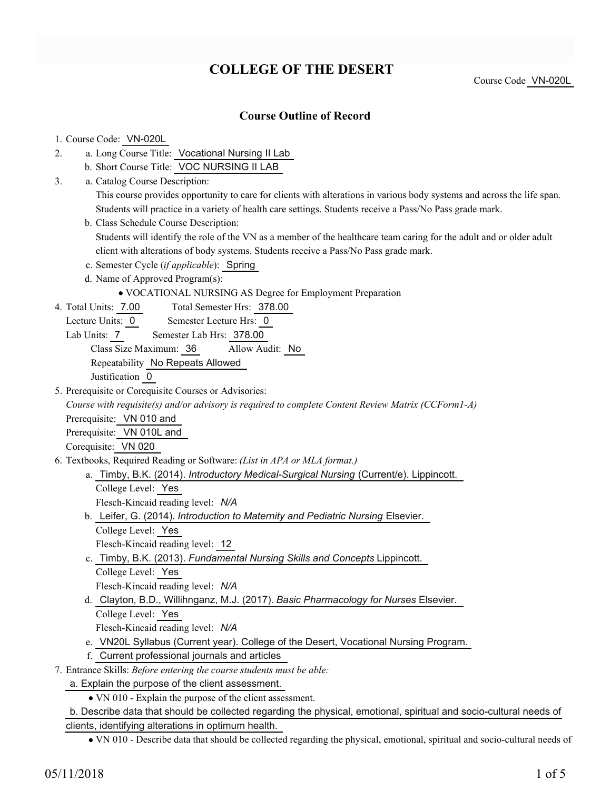## **COLLEGE OF THE DESERT**

Course Code VN-020L

## **Course Outline of Record**

# 1. Course Code: VN-020L

- a. Long Course Title: Vocational Nursing II Lab 2.
	- b. Short Course Title: VOC NURSING II LAB
- Catalog Course Description: a. 3.

This course provides opportunity to care for clients with alterations in various body systems and across the life span. Students will practice in a variety of health care settings. Students receive a Pass/No Pass grade mark.

- b. Class Schedule Course Description: Students will identify the role of the VN as a member of the healthcare team caring for the adult and or older adult client with alterations of body systems. Students receive a Pass/No Pass grade mark.
- c. Semester Cycle (*if applicable*): Spring
- d. Name of Approved Program(s):
	- VOCATIONAL NURSING AS Degree for Employment Preparation
- Total Semester Hrs: 378.00 4. Total Units: 7.00
- Lecture Units: 0 Semester Lecture Hrs: 0
	- Lab Units: 7 Semester Lab Hrs: 378.00
		- Class Size Maximum: 36 Allow Audit: No
		- Repeatability No Repeats Allowed

Justification 0

5. Prerequisite or Corequisite Courses or Advisories:

*Course with requisite(s) and/or advisory is required to complete Content Review Matrix (CCForm1-A)* Prerequisite: VN 010 and

Prerequisite: VN 010L and

Corequisite: VN 020

- Textbooks, Required Reading or Software: *(List in APA or MLA format.)* 6.
	- a. Timby, B.K. (2014). *Introductory Medical-Surgical Nursing* (Current/e). Lippincott. College Level: Yes
		- Flesch-Kincaid reading level: *N/A*
	- b. Leifer, G. (2014). *Introduction to Maternity and Pediatric Nursing* Elsevier. College Level: Yes
		- Flesch-Kincaid reading level: 12
	- Timby, B.K. (2013). *Fundamental Nursing Skills and Concepts* Lippincott. c.
	- College Level: Yes Flesch-Kincaid reading level: *N/A*
	- d. Clayton, B.D., Willihnganz, M.J. (2017). *Basic Pharmacology for Nurses* Elsevier. College Level: Yes
		- Flesch-Kincaid reading level: *N/A*
	- e. VN20L Syllabus (Current year). College of the Desert, Vocational Nursing Program.
	- f. Current professional journals and articles
- Entrance Skills: *Before entering the course students must be able:* 7.
	- a. Explain the purpose of the client assessment.
		- VN 010 Explain the purpose of the client assessment.

b. Describe data that should be collected regarding the physical, emotional, spiritual and socio-cultural needs of clients, identifying alterations in optimum health.

VN 010 - Describe data that should be collected regarding the physical, emotional, spiritual and socio-cultural needs of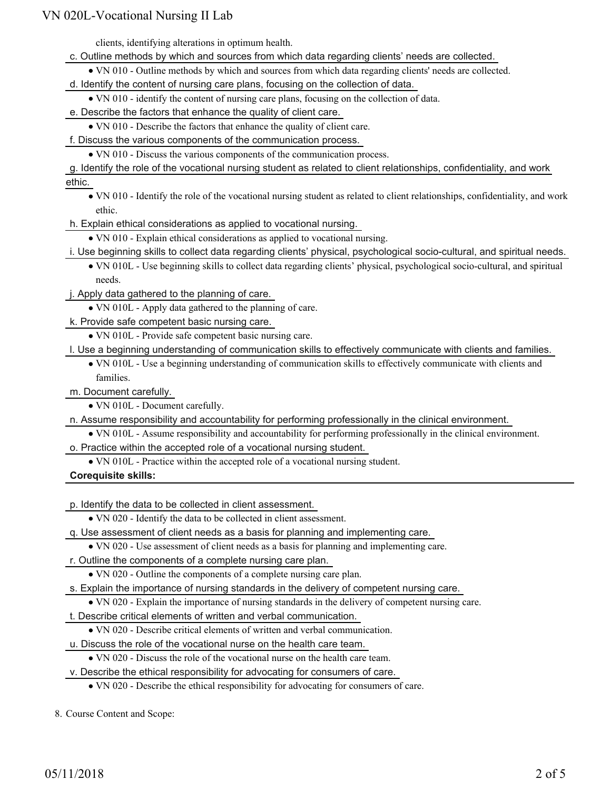clients, identifying alterations in optimum health.

- c. Outline methods by which and sources from which data regarding clients' needs are collected.
	- VN 010 Outline methods by which and sources from which data regarding clients' needs are collected.
- d. Identify the content of nursing care plans, focusing on the collection of data.
	- VN 010 identify the content of nursing care plans, focusing on the collection of data.
- e. Describe the factors that enhance the quality of client care.
- VN 010 Describe the factors that enhance the quality of client care.
- f. Discuss the various components of the communication process.
	- VN 010 Discuss the various components of the communication process.
- g. Identify the role of the vocational nursing student as related to client relationships, confidentiality, and work ethic.
	- VN 010 Identify the role of the vocational nursing student as related to client relationships, confidentiality, and work ethic.
- h. Explain ethical considerations as applied to vocational nursing.
	- VN 010 Explain ethical considerations as applied to vocational nursing.
- i. Use beginning skills to collect data regarding clients' physical, psychological socio-cultural, and spiritual needs.
	- VN 010L Use beginning skills to collect data regarding clients' physical, psychological socio-cultural, and spiritual needs.
- j. Apply data gathered to the planning of care.
	- VN 010L Apply data gathered to the planning of care.
- k. Provide safe competent basic nursing care.
	- VN 010L Provide safe competent basic nursing care.
- l. Use a beginning understanding of communication skills to effectively communicate with clients and families.
	- VN 010L Use a beginning understanding of communication skills to effectively communicate with clients and families.
- m. Document carefully.
	- VN 010L Document carefully.
- n. Assume responsibility and accountability for performing professionally in the clinical environment.
	- VN 010L Assume responsibility and accountability for performing professionally in the clinical environment.
- o. Practice within the accepted role of a vocational nursing student.
	- VN 010L Practice within the accepted role of a vocational nursing student.

**Corequisite skills:**

p. Identify the data to be collected in client assessment.

- VN 020 Identify the data to be collected in client assessment.
- q. Use assessment of client needs as a basis for planning and implementing care.
	- VN 020 Use assessment of client needs as a basis for planning and implementing care.
- r. Outline the components of a complete nursing care plan.
	- VN 020 Outline the components of a complete nursing care plan.
- s. Explain the importance of nursing standards in the delivery of competent nursing care.
	- VN 020 Explain the importance of nursing standards in the delivery of competent nursing care.
- t. Describe critical elements of written and verbal communication.
	- VN 020 Describe critical elements of written and verbal communication.
- u. Discuss the role of the vocational nurse on the health care team.
- VN 020 Discuss the role of the vocational nurse on the health care team.
- v. Describe the ethical responsibility for advocating for consumers of care.
	- VN 020 Describe the ethical responsibility for advocating for consumers of care.

8. Course Content and Scope: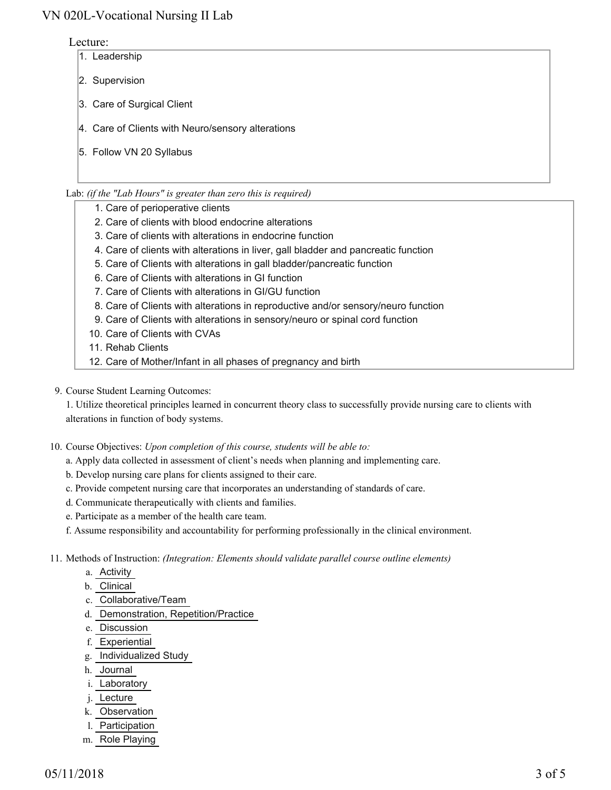#### Lecture:

- 1. Leadership
- 2. Supervision
- 3. Care of Surgical Client
- 4. Care of Clients with Neuro/sensory alterations
- 5. Follow VN 20 Syllabus

#### Lab: *(if the "Lab Hours" is greater than zero this is required)*

- 1. Care of perioperative clients
- 2. Care of clients with blood endocrine alterations
- 3. Care of clients with alterations in endocrine function
- 4. Care of clients with alterations in liver, gall bladder and pancreatic function
- 5. Care of Clients with alterations in gall bladder/pancreatic function
- 6. Care of Clients with alterations in GI function
- 7. Care of Clients with alterations in GI/GU function
- 8. Care of Clients with alterations in reproductive and/or sensory/neuro function
- 9. Care of Clients with alterations in sensory/neuro or spinal cord function
- 10. Care of Clients with CVAs
- 11. Rehab Clients
- 12. Care of Mother/Infant in all phases of pregnancy and birth
- 9. Course Student Learning Outcomes:

1. Utilize theoretical principles learned in concurrent theory class to successfully provide nursing care to clients with alterations in function of body systems.

- 10. Course Objectives: Upon completion of this course, students will be able to:
	- a. Apply data collected in assessment of client's needs when planning and implementing care.
	- b. Develop nursing care plans for clients assigned to their care.
	- c. Provide competent nursing care that incorporates an understanding of standards of care.
	- d. Communicate therapeutically with clients and families.
	- e. Participate as a member of the health care team.
	- f. Assume responsibility and accountability for performing professionally in the clinical environment.
- Methods of Instruction: *(Integration: Elements should validate parallel course outline elements)* 11.
	- a. Activity
	- b. Clinical
	- c. Collaborative/Team
	- d. Demonstration, Repetition/Practice
	- e. Discussion
	- f. Experiential
	- g. Individualized Study
	- h. Journal
	- i. Laboratory
	- j. Lecture
	- k. Observation
	- l. Participation
	- m. Role Playing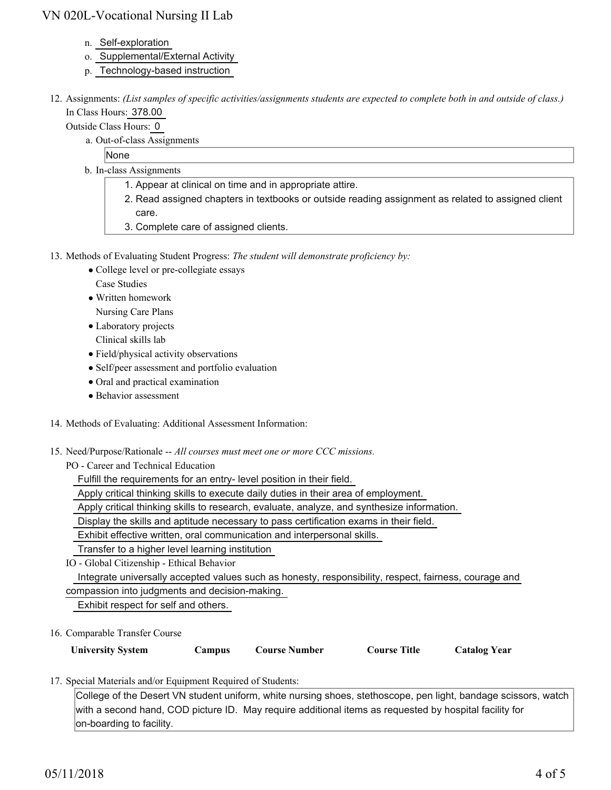- n. Self-exploration
- o. Supplemental/External Activity
- p. Technology-based instruction
- 12. Assignments: (List samples of specific activities/assignments students are expected to complete both in and outside of class.) In Class Hours: 378.00

Outside Class Hours: 0

a. Out-of-class Assignments

None

- b. In-class Assignments
	- 1. Appear at clinical on time and in appropriate attire.
	- 2. Read assigned chapters in textbooks or outside reading assignment as related to assigned client care.
	- 3. Complete care of assigned clients.
- 13. Methods of Evaluating Student Progress: The student will demonstrate proficiency by:
	- College level or pre-collegiate essays Case Studies
	- Written homework Nursing Care Plans
	- Laboratory projects
	- Clinical skills lab
	- Field/physical activity observations
	- Self/peer assessment and portfolio evaluation
	- Oral and practical examination
	- Behavior assessment
- 14. Methods of Evaluating: Additional Assessment Information:
- 15. Need/Purpose/Rationale -- All courses must meet one or more CCC missions.

PO - Career and Technical Education

Fulfill the requirements for an entry- level position in their field.

Apply critical thinking skills to execute daily duties in their area of employment.

Apply critical thinking skills to research, evaluate, analyze, and synthesize information.

Display the skills and aptitude necessary to pass certification exams in their field.

Exhibit effective written, oral communication and interpersonal skills.

Transfer to a higher level learning institution

IO - Global Citizenship - Ethical Behavior

Integrate universally accepted values such as honesty, responsibility, respect, fairness, courage and

compassion into judgments and decision-making.

Exhibit respect for self and others.

16. Comparable Transfer Course

| <b>University System</b> | <b>Campus</b> | <b>Course Number</b> | <b>Course Title</b> | <b>Catalog Year</b> |
|--------------------------|---------------|----------------------|---------------------|---------------------|
|                          |               |                      |                     |                     |

17. Special Materials and/or Equipment Required of Students:

College of the Desert VN student uniform, white nursing shoes, stethoscope, pen light, bandage scissors, watch with a second hand, COD picture ID. May require additional items as requested by hospital facility for on-boarding to facility.